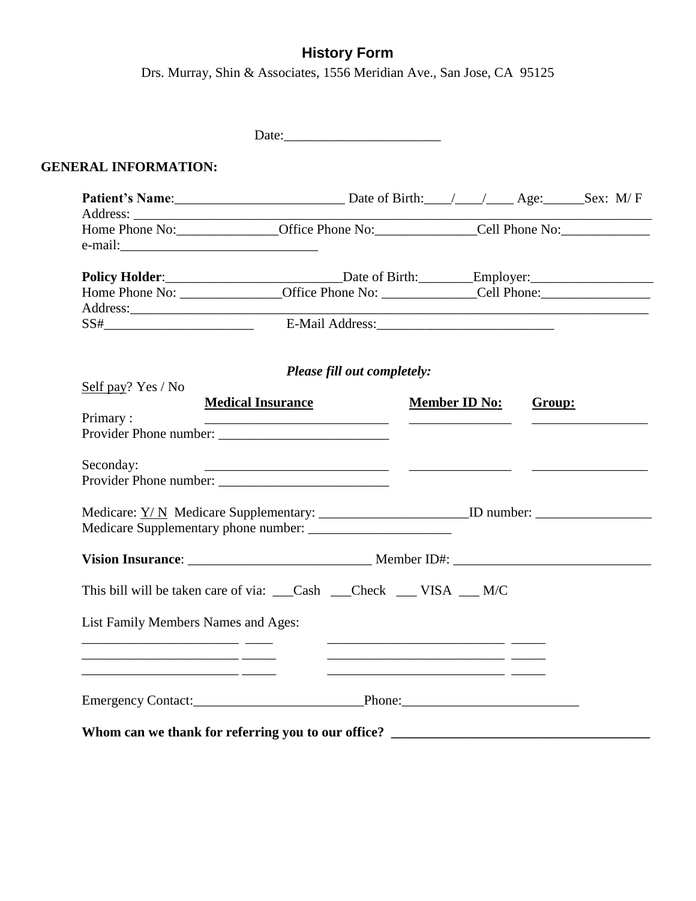## **History Form**

Drs. Murray, Shin & Associates, 1556 Meridian Ave., San Jose, CA 95125

| <b>GENERAL INFORMATION:</b>         |                                                                                                                                                                                                                                     |                                                                                                                                                                                                                                                              |        |  |
|-------------------------------------|-------------------------------------------------------------------------------------------------------------------------------------------------------------------------------------------------------------------------------------|--------------------------------------------------------------------------------------------------------------------------------------------------------------------------------------------------------------------------------------------------------------|--------|--|
|                                     | Patient's Name: Sex: M/F                                                                                                                                                                                                            |                                                                                                                                                                                                                                                              |        |  |
|                                     |                                                                                                                                                                                                                                     |                                                                                                                                                                                                                                                              |        |  |
|                                     | Policy Holder: <u> Late of Birth: Chapter</u> Employer: Late of Birth: Late of Birth: Late of Birth: Late of Birth: Late of Birth: Late of Birth: Late of Birth: Late of Birth: Late of Birth: Late of Birth: Late of Birth: Late o |                                                                                                                                                                                                                                                              |        |  |
|                                     |                                                                                                                                                                                                                                     |                                                                                                                                                                                                                                                              |        |  |
|                                     |                                                                                                                                                                                                                                     |                                                                                                                                                                                                                                                              |        |  |
|                                     | Please fill out completely:                                                                                                                                                                                                         |                                                                                                                                                                                                                                                              |        |  |
| Self pay? Yes / No                  |                                                                                                                                                                                                                                     |                                                                                                                                                                                                                                                              |        |  |
| Primary:                            | <b>Medical Insurance</b><br>Provider Phone number:                                                                                                                                                                                  | <b>Member ID No:</b><br><u> The Common State of the Common State of the Common State of the Common State of the Common State of the Common State of the Common State of the Common State of the Common State of the Common State of the Common State of </u> | Group: |  |
| Seconday:                           | <u> 2000 - Andrea San Andrew Maria (b. 1989)</u><br>Provider Phone number:                                                                                                                                                          |                                                                                                                                                                                                                                                              |        |  |
|                                     |                                                                                                                                                                                                                                     |                                                                                                                                                                                                                                                              |        |  |
|                                     |                                                                                                                                                                                                                                     |                                                                                                                                                                                                                                                              |        |  |
|                                     | This bill will be taken care of via: Cash Check _ VISA _ M/C                                                                                                                                                                        |                                                                                                                                                                                                                                                              |        |  |
| List Family Members Names and Ages: |                                                                                                                                                                                                                                     |                                                                                                                                                                                                                                                              |        |  |
|                                     |                                                                                                                                                                                                                                     |                                                                                                                                                                                                                                                              |        |  |
|                                     |                                                                                                                                                                                                                                     |                                                                                                                                                                                                                                                              |        |  |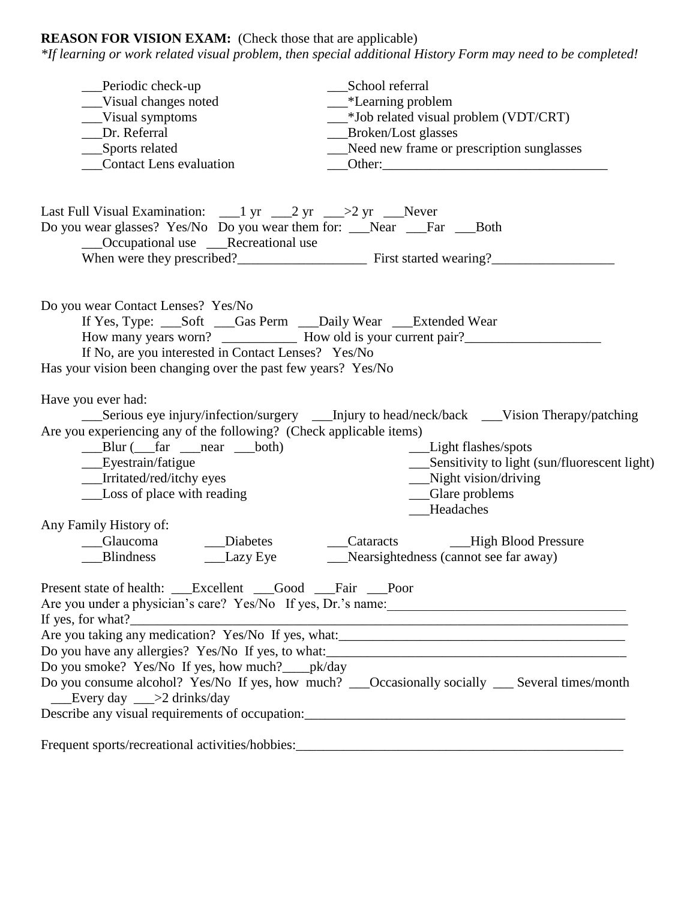## **REASON FOR VISION EXAM:** (Check those that are applicable)

*\*If learning or work related visual problem, then special additional History Form may need to be completed!*

| Periodic check-up<br>Visual changes noted<br>_Visual symptoms<br>Dr. Referral<br>___Sports related<br><b>Contact Lens evaluation</b>                                                                                     | School referral<br>___*Learning problem<br>__*Job related visual problem (VDT/CRT)<br>Broken/Lost glasses<br>__Need new frame or prescription sunglasses                                                                                              |
|--------------------------------------------------------------------------------------------------------------------------------------------------------------------------------------------------------------------------|-------------------------------------------------------------------------------------------------------------------------------------------------------------------------------------------------------------------------------------------------------|
| Last Full Visual Examination: $\qquad \qquad$ 1 yr $\qquad$ 2 yr $\qquad$ >2 yr $\qquad$ Never<br>Do you wear glasses? Yes/No Do you wear them for: __Near __Far __Both<br>__Occupational use __Recreational use         |                                                                                                                                                                                                                                                       |
| Do you wear Contact Lenses? Yes/No<br>If Yes, Type: Soft Gas Perm Daily Wear __Extended Wear<br>If No, are you interested in Contact Lenses? Yes/No<br>Has your vision been changing over the past few years? Yes/No     |                                                                                                                                                                                                                                                       |
| Have you ever had:<br>Are you experiencing any of the following? (Check applicable items)<br>___Blur (___far ___near ___both)<br>___Eyestrain/fatigue<br>__Irritated/red/itchy eyes<br><b>Loss of place with reading</b> | _____Serious eye injury/infection/surgery _________Injury to head/neck/back _____Vision Therapy/patching<br>__Light flashes/spots<br>___Sensitivity to light (sun/fluorescent light)<br>__Night vision/driving<br>_Glare problems<br><b>Headaches</b> |
| Any Family History of:<br>__Glaucoma<br>__Diabetes<br><b>Blindness</b><br>__Lazy Eye                                                                                                                                     | __Cataracts ______High Blood Pressure<br>___Nearsightedness (cannot see far away)                                                                                                                                                                     |
| Present state of health: __Excellent __Good __Fair __Poor<br>Do you smoke? Yes/No If yes, how much?____pk/day<br>$\equiv$ Every day $\equiv$ >2 drinks/day                                                               | Do you consume alcohol? Yes/No If yes, how much? Cocasionally socially Several times/month                                                                                                                                                            |
|                                                                                                                                                                                                                          |                                                                                                                                                                                                                                                       |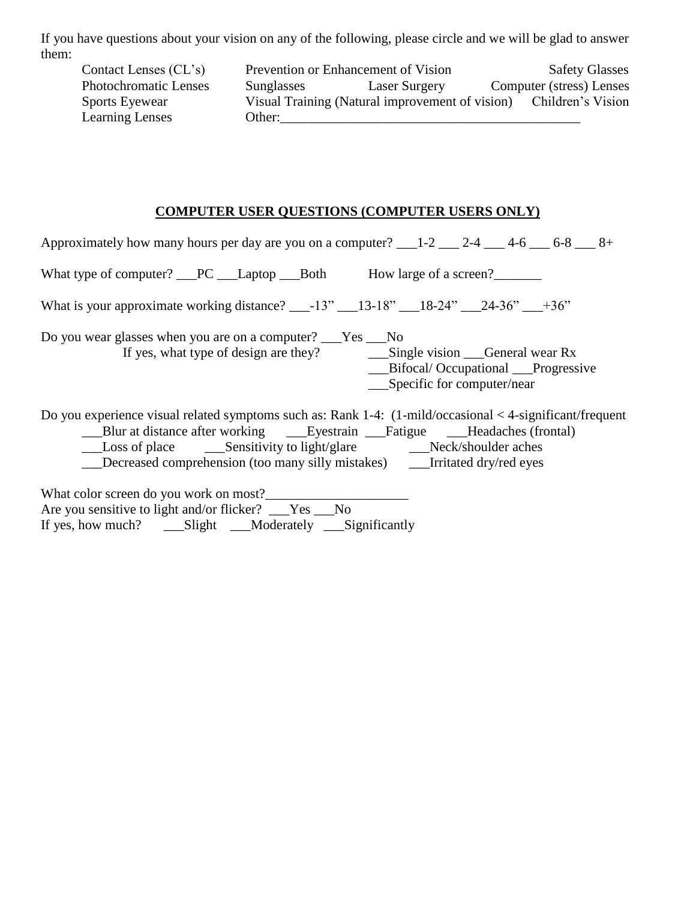If you have questions about your vision on any of the following, please circle and we will be glad to answer them:

Contact Lenses (CL's) Prevention or Enhancement of Vision Safety Glasses Photochromatic Lenses Sunglasses Laser Surgery Computer (stress) Lenses Sports Eyewear Visual Training (Natural improvement of vision) Children's Vision Learning Lenses Other:

## **COMPUTER USER QUESTIONS (COMPUTER USERS ONLY)**

| Approximately how many hours per day are you on a computer? $1-2$ $2-4$ $2-4$ $4-6$ $6-8$ $8-8$                                                                                               |
|-----------------------------------------------------------------------------------------------------------------------------------------------------------------------------------------------|
| What type of computer? PC ___ Laptop ____ Both How large of a screen?                                                                                                                         |
| What is your approximate working distance? ___-13" ___13-18" ___18-24" ___24-36" ___+36"                                                                                                      |
| Do you wear glasses when you are on a computer? ___Yes ___No<br>__Bifocal/Occupational __Progressive<br>$\sum$ Specific for computer/near                                                     |
| Do you experience visual related symptoms such as: Rank 1-4: (1-mild/occasional < 4-significant/frequent<br>__Decreased comprehension (too many silly mistakes) _______Irritated dry/red eyes |
| What color screen do you work on most?<br>Are you sensitive to light and/or flicker? ___Yes ___No                                                                                             |